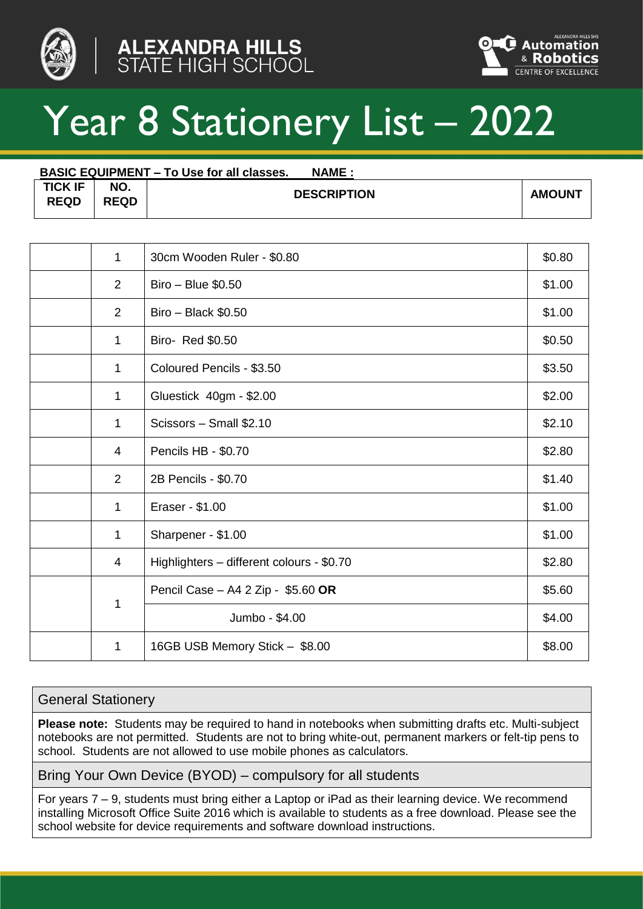





## Year 8 Stationery List – 2022

| <b>BASIC EQUIPMENT – To Use for all classes.</b><br><b>NAME:</b> |                    |                    |               |  |  |  |
|------------------------------------------------------------------|--------------------|--------------------|---------------|--|--|--|
| <b>TICK IF</b><br><b>REQD</b>                                    | NO.<br><b>REQD</b> | <b>DESCRIPTION</b> | <b>AMOUNT</b> |  |  |  |

| $\mathbf{1}$   | 30cm Wooden Ruler - \$0.80                | \$0.80 |
|----------------|-------------------------------------------|--------|
| $\overline{2}$ | Biro - Blue \$0.50                        | \$1.00 |
| $\overline{2}$ | $Biro - Black $0.50$                      | \$1.00 |
| 1              | Biro- Red \$0.50                          | \$0.50 |
| $\mathbf{1}$   | Coloured Pencils - \$3.50                 | \$3.50 |
| $\mathbf{1}$   | Gluestick 40gm - \$2.00                   | \$2.00 |
| $\mathbf{1}$   | Scissors - Small \$2.10                   | \$2.10 |
| 4              | Pencils HB - \$0.70                       | \$2.80 |
| 2              | 2B Pencils - \$0.70                       | \$1.40 |
| 1              | Eraser - \$1.00                           | \$1.00 |
| 1              | Sharpener - \$1.00                        | \$1.00 |
| 4              | Highlighters - different colours - \$0.70 | \$2.80 |
| 1              | Pencil Case - A4 2 Zip - \$5.60 OR        | \$5.60 |
|                | Jumbo - \$4.00                            | \$4.00 |
| 1              | 16GB USB Memory Stick - \$8.00            | \$8.00 |

## General Stationery

**Please note:** Students may be required to hand in notebooks when submitting drafts etc. Multi-subject notebooks are not permitted. Students are not to bring white-out, permanent markers or felt-tip pens to school. Students are not allowed to use mobile phones as calculators.

Bring Your Own Device (BYOD) – compulsory for all students

For years 7 – 9, students must bring either a Laptop or iPad as their learning device. We recommend installing Microsoft Office Suite 2016 which is available to students as a free download. Please see the school website for device requirements and software download instructions.